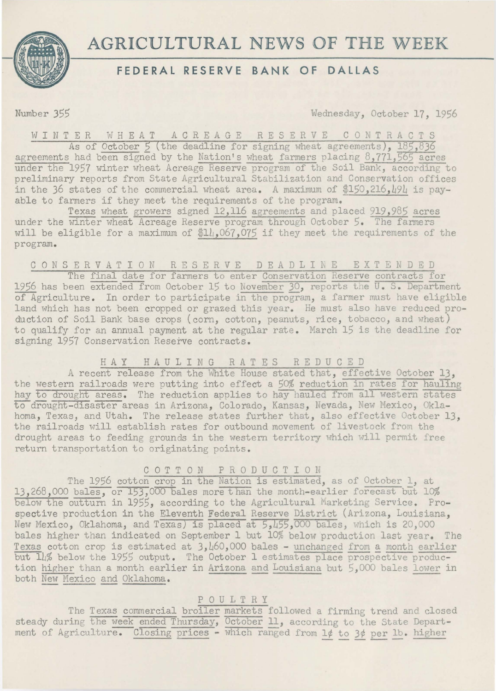

# **AGRICULTURAL NEWS OF THE WEEK**

## **FEDERAL RESERVE BANK OF DALLAS**

Number 355 Wednesday, October 17, 1956

W I N T E R W H E A T A G R E A G E R E S E R V E C O N T R A C T S

As of October 5 (the deadline for signing wheat agreements), 185,836 agreements had been signed by the Nation's wheat farmers placing 8,771,565 acres under the 1957 winter wheat Acreage Reserve program of the Soil Bank, according to preliminary reports from State Agricultural Stabilization and Conservation offices in the 36 states of the commercial wheat area. A maximum of \$150,216,494 is payable to farmers if they meet the requirements of the program.

Texas wheat growers signed 12,116 agreements and placed 919,985 acres under the winter wheat Acreage Reserve program through October 5. The farmers will be eligible for a maximum of \$14.067.075 if they meet the requirements of the program.

#### C 0 N S E R V A T I 0 N R E S E R V E DEADLINE EXTENDED

The final date for farmers to enter Conservation Reserve contracts for 1956 has been extended from October 15 to November 30, reports the U. S. Department of Agriculture. In order to participate in the program, a farmer must have eligible land which has not been cropped or grazed this year. He must also have reduced production of Soil Bank base crops (corn, cotton, peanuts, rice, tobacco, and wheat) to qualify for an annual payment at the regular rate. March 15 is the deadline for signing 1957 Conservation Reserve contracts.

#### HAY HAULING RATES R E D U C E D

A recent release from the White House stated that, effective October 13, the western railroads were putting into effect a 50% reduction in rates for hauling hay to drought areas. The reduction applies to hay hauled from all western states to drought-disaster areas in Arizona, Colorado, Kansas, Nevada, New Mexico, Oklahoma, Texas, and Utah. The release states further that, also effective October 13, the railroads will establish rates for outbound movement of livestock from the drought areas to feeding grounds in the western territory which will permit free return transportation to originating points.

### C 0 T T 0 N P R 0 D U C T I 0 N

The 1956 cotton crop in the Nation is estimated, as of October 1, at 13, 268, 000 bales, or 153, 000 bales more than the month-earlier forecast but 10% below the outturn in 1955, according to the Agricultural Marketing Service. Prospective production in the Eleventh Federal Reserve District (Arizona, Louisiana, New Mexico, Oklahoma, and Texas) is placed at 5,L55,000 bales, which is 20,000 bales higher than indicated on September 1 but 10% below production last year. The Texas cotton crop is estimated at  $3,160,000$  bales - unchanged from a month earlier but 14% below the 1955 output. The October 1 estimates place prospective production higher than a month earlier in Arizona and Louisiana but 5,000 bales lower in both New Mexico and Oklahoma.

#### POULTRY

The Texas commercial broiler markets followed a firming trend and closed steady during the week ended Thursday, October 11, according to the State Department of Agriculture. Closing prices - which ranged from 1¢ to 3¢ per lb. higher